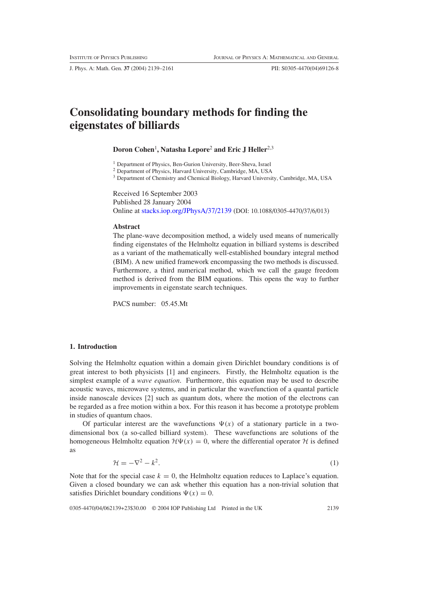J. Phys. A: Math. Gen. **37** (2004) 2139–2161 PII: S0305-4470(04)69126-8

# **Consolidating boundary methods for finding the eigenstates of billiards**

# **Doron Cohen**<sup>1</sup> **, Natasha Lepore**<sup>2</sup> **and Eric J Heller**2,3

<sup>1</sup> Department of Physics, Ben-Gurion University, Beer-Sheva, Israel

<sup>2</sup> Department of Physics, Harvard University, Cambridge, MA, USA

<sup>3</sup> Department of Chemistry and Chemical Biology, Harvard University, Cambridge, MA, USA

Received 16 September 2003

Published 28 January 2004 Online at [stacks.iop.org/JPhysA/37/2139](http://stacks.iop.org/ja/37/2139) (DOI: 10.1088/0305-4470/37/6/013)

#### **Abstract**

The plane-wave decomposition method, a widely used means of numerically finding eigenstates of the Helmholtz equation in billiard systems is described as a variant of the mathematically well-established boundary integral method (BIM). A new unified framework encompassing the two methods is discussed. Furthermore, a third numerical method, which we call the gauge freedom method is derived from the BIM equations. This opens the way to further improvements in eigenstate search techniques.

PACS number: 05.45.Mt

# **1. Introduction**

Solving the Helmholtz equation within a domain given Dirichlet boundary conditions is of great interest to both physicists [1] and engineers. Firstly, the Helmholtz equation is the simplest example of a *wave equation*. Furthermore, this equation may be used to describe acoustic waves, microwave systems, and in particular the wavefunction of a quantal particle inside nanoscale devices [2] such as quantum dots, where the motion of the electrons can be regarded as a free motion within a box. For this reason it has become a prototype problem in studies of quantum chaos.

Of particular interest are the wavefunctions  $\Psi(x)$  of a stationary particle in a twodimensional box (a so-called billiard system). These wavefunctions are solutions of the homogeneous Helmholtz equation  $\mathcal{H}\Psi(x) = 0$ , where the differential operator  $\mathcal H$  is defined as

$$
\mathcal{H} = -\nabla^2 - k^2. \tag{1}
$$

Note that for the special case  $k = 0$ , the Helmholtz equation reduces to Laplace's equation. Given a closed boundary we can ask whether this equation has a non-trivial solution that satisfies Dirichlet boundary conditions  $\Psi(x) = 0$ .

0305-4470/04/062139+23\$30.00 © 2004 IOP Publishing Ltd Printed in the UK 2139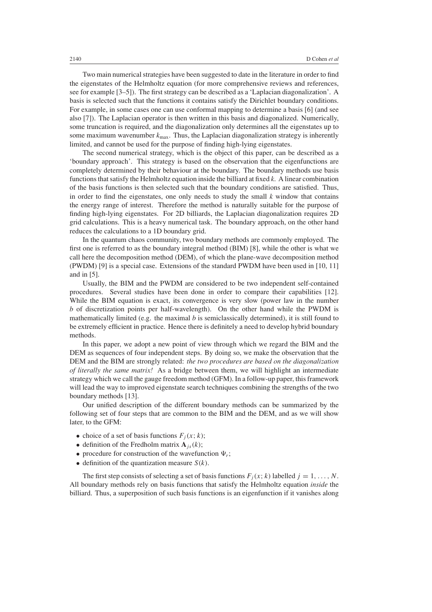Two main numerical strategies have been suggested to date in the literature in order to find the eigenstates of the Helmholtz equation (for more comprehensive reviews and references, see for example [3–5]). The first strategy can be described as a 'Laplacian diagonalization'. A basis is selected such that the functions it contains satisfy the Dirichlet boundary conditions. For example, in some cases one can use conformal mapping to determine a basis [6] (and see also [7]). The Laplacian operator is then written in this basis and diagonalized. Numerically, some truncation is required, and the diagonalization only determines all the eigenstates up to some maximum wavenumber  $k_{\text{max}}$ . Thus, the Laplacian diagonalization strategy is inherently limited, and cannot be used for the purpose of finding high-lying eigenstates.

The second numerical strategy, which is the object of this paper, can be described as a 'boundary approach'. This strategy is based on the observation that the eigenfunctions are completely determined by their behaviour at the boundary. The boundary methods use basis functions that satisfy the Helmholtz equation inside the billiard at fixed *k*. A linear combination of the basis functions is then selected such that the boundary conditions are satisfied. Thus, in order to find the eigenstates, one only needs to study the small  $k$  window that contains the energy range of interest. Therefore the method is naturally suitable for the purpose of finding high-lying eigenstates. For 2D billiards, the Laplacian diagonalization requires 2D grid calculations. This is a heavy numerical task. The boundary approach, on the other hand reduces the calculations to a 1D boundary grid.

In the quantum chaos community, two boundary methods are commonly employed. The first one is referred to as the boundary integral method (BIM) [8], while the other is what we call here the decomposition method (DEM), of which the plane-wave decomposition method (PWDM) [9] is a special case. Extensions of the standard PWDM have been used in [10, 11] and in [5].

Usually, the BIM and the PWDM are considered to be two independent self-contained procedures. Several studies have been done in order to compare their capabilities [12]. While the BIM equation is exact, its convergence is very slow (power law in the number *b* of discretization points per half-wavelength). On the other hand while the PWDM is mathematically limited (e.g. the maximal *b* is semiclassically determined), it is still found to be extremely efficient in practice. Hence there is definitely a need to develop hybrid boundary methods.

In this paper, we adopt a new point of view through which we regard the BIM and the DEM as sequences of four independent steps. By doing so, we make the observation that the DEM and the BIM are strongly related: *the two procedures are based on the diagonalization of literally the same matrix!* As a bridge between them, we will highlight an intermediate strategy which we call the gauge freedom method (GFM). In a follow-up paper, this framework will lead the way to improved eigenstate search techniques combining the strengths of the two boundary methods [13].

Our unified description of the different boundary methods can be summarized by the following set of four steps that are common to the BIM and the DEM, and as we will show later, to the GFM:

- choice of a set of basis functions  $F_i(x; k)$ ;
- definition of the Fredholm matrix  $\mathbf{A}_{is}(k)$ ;
- procedure for construction of the wavefunction  $\Psi_r$ ;
- $\bullet$  definition of the quantization measure *S(k)*.

The first step consists of selecting a set of basis functions  $F_j(x; k)$  labelled  $j = 1, \ldots, N$ . All boundary methods rely on basis functions that satisfy the Helmholtz equation *inside* the billiard. Thus, a superposition of such basis functions is an eigenfunction if it vanishes along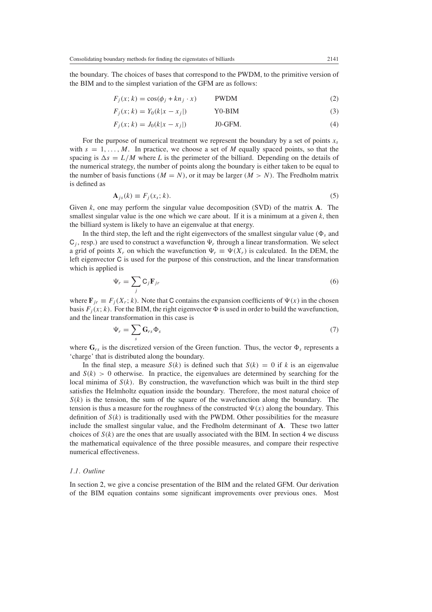<span id="page-2-4"></span><span id="page-2-1"></span>the boundary. The choices of bases that correspond to the PWDM, to the primitive version of the BIM and to the simplest variation of the GFM are as follows:

$$
F_j(x; k) = \cos(\phi_j + kn_j \cdot x) \qquad \text{PWDM} \tag{2}
$$

$$
F_j(x; k) = Y_0(k|x - x_j|)
$$
 **Y0-BIM** (3)

$$
F_j(x; k) = J_0(k|x - x_j|) \qquad \qquad \text{JO-GFM.} \tag{4}
$$

<span id="page-2-2"></span>For the purpose of numerical treatment we represent the boundary by a set of points  $x_s$ with  $s = 1, \ldots, M$ . In practice, we choose a set of M equally spaced points, so that the spacing is  $\Delta s = L/M$  where L is the perimeter of the billiard. Depending on the details of the numerical strategy, the number of points along the boundary is either taken to be equal to the number of basis functions  $(M = N)$ , or it may be larger  $(M > N)$ . The Fredholm matrix is defined as

$$
\mathbf{A}_{js}(k) \equiv F_j(x_s; k). \tag{5}
$$

<span id="page-2-0"></span>Given *k*, one may perform the singular value decomposition (SVD) of the matrix **A**. The smallest singular value is the one which we care about. If it is a minimum at a given  $k$ , then the billiard system is likely to have an eigenvalue at that energy.

In the third step, the left and the right eigenvectors of the smallest singular value ( $\Phi_s$  and  $C_i$ , resp.) are used to construct a wavefunction  $\Psi_r$  through a linear transformation. We select a grid of points  $X_r$  on which the wavefunction  $\Psi_r \equiv \Psi(X_r)$  is calculated. In the DEM, the left eigenvector C is used for the purpose of this construction, and the linear transformation which is applied is

$$
\Psi_r = \sum_j \mathbf{C}_j \mathbf{F}_{jr} \tag{6}
$$

<span id="page-2-5"></span><span id="page-2-3"></span>where  $\mathbf{F}_{ir} \equiv F_i(X_r; k)$ . Note that C contains the expansion coefficients of  $\Psi(x)$  in the chosen basis  $F_j(x; k)$ . For the BIM, the right eigenvector  $\Phi$  is used in order to build the wavefunction, and the linear transformation in this case is

$$
\Psi_r = \sum_s \mathbf{G}_{rs} \Phi_s \tag{7}
$$

where  $\mathbf{G}_{rs}$  is the discretized version of the Green function. Thus, the vector  $\Phi_s$  represents a 'charge' that is distributed along the boundary.

In the final step, a measure  $S(k)$  is defined such that  $S(k) = 0$  if k is an eigenvalue and  $S(k) > 0$  otherwise. In practice, the eigenvalues are determined by searching for the local minima of  $S(k)$ . By construction, the wavefunction which was built in the third step satisfies the Helmholtz equation inside the boundary. Therefore, the most natural choice of  $S(k)$  is the tension, the sum of the square of the wavefunction along the boundary. The tension is thus a measure for the roughness of the constructed  $\Psi(x)$  along the boundary. This definition of  $S(k)$  is traditionally used with the PWDM. Other possibilities for the measure include the smallest singular value, and the Fredholm determinant of **A**. These two latter choices of  $S(k)$  are the ones that are usually associated with the BIM. In section [4](#page-11-0) we discuss the mathematical equivalence of the three possible measures, and compare their respective numerical effectiveness.

#### *1.1. Outline*

In section [2,](#page-3-0) we give a concise presentation of the BIM and the related GFM. Our derivation of the BIM equation contains some significant improvements over previous ones. Most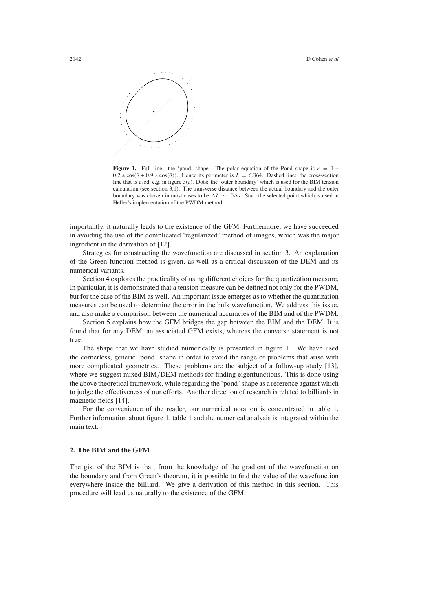

**Figure 1.** Full line: the 'pond' shape. The polar equation of the Pond shape is  $r = 1 +$  $0.2 * cos(\theta + 0.9 * cos(\theta))$ . Hence its perimeter is  $L = 6.364$ . Dashed line: the cross-section line that is used, e.g. in figure 3(*c*). Dots: the 'outer boundary' which is used for the BIM tension calculation (see section 3.1). The transverse distance between the actual boundary and the outer boundary was chosen in most cases to be  $\Delta L \sim 10\Delta s$ . Star: the selected point which is used in Heller's implementation of the PWDM method.

importantly, it naturally leads to the existence of the GFM. Furthermore, we have succeeded in avoiding the use of the complicated 'regularized' method of images, which was the major ingredient in the derivation of [12].

Strategies for constructing the wavefunction are discussed in section [3.](#page-6-0) An explanation of the Green function method is given, as well as a critical discussion of the DEM and its numerical variants.

Section [4](#page-11-0) explores the practicality of using different choices for the quantization measure. In particular, it is demonstrated that a tension measure can be defined not only for the PWDM, but for the case of the BIM as well. An important issue emerges as to whether the quantization measures can be used to determine the error in the bulk wavefunction. We address this issue, and also make a comparison between the numerical accuracies of the BIM and of the PWDM.

Section [5](#page-17-0) explains how the GFM bridges the gap between the BIM and the DEM. It is found that for any DEM, an associated GFM exists, whereas the converse statement is not true.

The shape that we have studied numerically is presented in figure 1. We have used the cornerless, generic 'pond' shape in order to avoid the range of problems that arise with more complicated geometries. These problems are the subject of a follow-up study [13], where we suggest mixed BIM/DEM methods for finding eigenfunctions. This is done using the above theoretical framework, while regarding the 'pond' shape as a reference against which to judge the effectiveness of our efforts. Another direction of research is related to billiards in magnetic fields [14].

For the convenience of the reader, our numerical notation is concentrated in table 1. Further information about figure 1, table 1 and the numerical analysis is integrated within the main text.

#### <span id="page-3-0"></span>**2. The BIM and the GFM**

The gist of the BIM is that, from the knowledge of the gradient of the wavefunction on the boundary and from Green's theorem, it is possible to find the value of the wavefunction everywhere inside the billiard. We give a derivation of this method in this section. This procedure will lead us naturally to the existence of the GFM.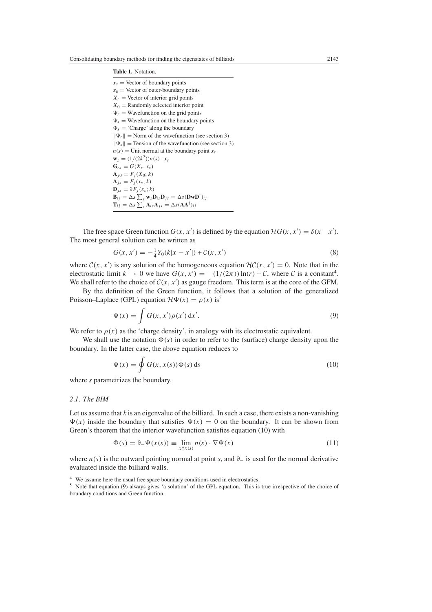#### **Table 1.** Notation.

 $x_s$  = Vector of boundary points

 $x_s$  = Vector of outer-boundary points  $X_r$  = Vector of interior grid points  $X_0$  = Randomly selected interior point  $\Psi_r$  = Wavefunction on the grid points  $\Psi_s$  = Wavefunction on the boundary points  $\Phi_s$  = 'Charge' along the boundary  $\|\Psi_r\|$  = Norm of the wavefunction (see section 3)  $\|\Psi_s\|$  = Tension of the wavefunction (see section 3)  $n(s)$  = Unit normal at the boundary point  $x_s$  $\mathbf{w}_s = (1/(2k^2))n(s) \cdot x_s$  $\mathbf{G}_{rs} = G(X_r, x_s)$  $\mathbf{A}_{i0} = F_i(X_0; k)$  $\mathbf{A}_{is} = F_{i}(x_{s}; k)$  $\mathbf{D}_{is} = \partial F_i(x_s; k)$  $\mathbf{B}_{ij} = \Delta s \sum_{s} \mathbf{w}_{s} \mathbf{D}_{is} \mathbf{D}_{js} = \Delta s (\mathbf{D} \mathbf{w} \mathbf{D}^{\dagger})_{ij}$  $\mathbf{T}_{ij} = \Delta s \sum_{s} \mathbf{A}_{is} \mathbf{A}_{js} = \Delta s (\mathbf{A} \mathbf{A}^{\dagger})_{ij}$ 

<span id="page-4-3"></span>The free space Green function  $G(x, x')$  is defined by the equation  $HG(x, x') = \delta(x - x')$ . The most general solution can be written as

$$
G(x, x') = -\frac{1}{4}Y_0(k|x - x'|) + C(x, x')
$$
\n(8)

where  $C(x, x')$  is any solution of the homogeneous equation  $H C(x, x') = 0$ . Note that in the electrostatic limit  $k \to 0$  we have  $G(x, x') = -(1/(2\pi)) \ln(r) + C$ , where C is a constant<sup>4</sup>. We shall refer to the choice of  $C(x, x')$  as gauge freedom. This term is at the core of the GFM.

<span id="page-4-1"></span>By the definition of the Green function, it follows that a solution of the generalized Poisson–Laplace (GPL) equation  $\mathcal{H}\Psi(x) = \rho(x)$  is<sup>5</sup>

$$
\Psi(x) = \int G(x, x') \rho(x') dx'.
$$
\n(9)

We refer to  $\rho(x)$  as the 'charge density', in analogy with its electrostatic equivalent.

<span id="page-4-0"></span>We shall use the notation  $\Phi(s)$  in order to refer to the (surface) charge density upon the boundary. In the latter case, the above equation reduces to

$$
\Psi(x) = \oint G(x, x(s))\Phi(s) ds
$$
\n(10)

where *s* parametrizes the boundary.

#### *2.1. The BIM*

<span id="page-4-2"></span>Let us assume that *k* is an eigenvalue of the billiard. In such a case, there exists a non-vanishing  $\Psi(x)$  inside the boundary that satisfies  $\Psi(x) = 0$  on the boundary. It can be shown from Green's theorem that the interior wavefunction satisfies equation [\(10\)](#page-4-0) with

$$
\Phi(s) = \partial_{-}\Psi(x(s)) \equiv \lim_{x \uparrow x(s)} n(s) \cdot \nabla \Psi(x)
$$
\n(11)

where *n(s)* is the outward pointing normal at point *s*, and *∂*<sup>−</sup> is used for the normal derivative evaluated inside the billiard walls.

<sup>&</sup>lt;sup>4</sup> We assume here the usual free space boundary conditions used in electrostatics.

<sup>5</sup> Note that equation [\(9\)](#page-4-1) always gives 'a solution' of the GPL equation. This is true irrespective of the choice of boundary conditions and Green function.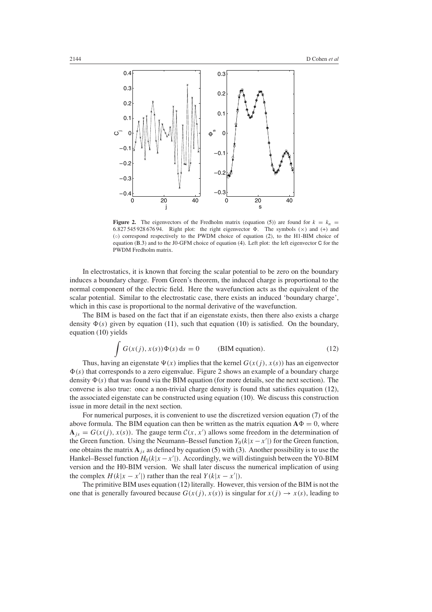

**Figure 2.** The eigenvectors of the Fredholm matrix (equation [\(5\)](#page-2-0)) are found for  $k = k_n$  = 6.827 545 928 676 94. Right plot: the right eigenvector  $\Phi$ . The symbols  $(\times)$  and  $(+)$  and (◦) correspond respectively to the PWDM choice of equation [\(2\)](#page-2-1), to the H1-BIM choice of equation [\(B.3\)](#page-20-0) and to the J0-GFM choice of equation [\(4\)](#page-2-2). Left plot: the left eigenvector C for the PWDM Fredholm matrix.

In electrostatics, it is known that forcing the scalar potential to be zero on the boundary induces a boundary charge. From Green's theorem, the induced charge is proportional to the normal component of the electric field. Here the wavefunction acts as the equivalent of the scalar potential. Similar to the electrostatic case, there exists an induced 'boundary charge', which in this case is proportional to the normal derivative of the wavefunction.

The BIM is based on the fact that if an eigenstate exists, then there also exists a charge density  $\Phi(s)$  given by equation [\(11\)](#page-4-2), such that equation [\(10\)](#page-4-0) is satisfied. On the boundary, equation [\(10\)](#page-4-0) yields

$$
\int G(x(j), x(s))\Phi(s) ds = 0
$$
 (BIM equation). (12)

<span id="page-5-0"></span>Thus, having an eigenstate  $\Psi(x)$  implies that the kernel  $G(x(i), x(s))$  has an eigenvector  $\Phi(s)$  that corresponds to a zero eigenvalue. Figure 2 shows an example of a boundary charge density  $\Phi(s)$  that was found via the BIM equation (for more details, see the next section). The converse is also true: once a non-trivial charge density is found that satisfies equation [\(12\)](#page-5-0), the associated eigenstate can be constructed using equation [\(10\)](#page-4-0). We discuss this construction issue in more detail in the next section.

For numerical purposes, it is convenient to use the discretized version equation [\(7\)](#page-2-3) of the above formula. The BIM equation can then be written as the matrix equation  $\mathbf{A}\Phi = 0$ , where  $A_{js} = G(x(j), x(s))$ . The gauge term  $C(x, x')$  allows some freedom in the determination of the Green function. Using the Neumann–Bessel function  $Y_0(k|x-x'|)$  for the Green function, one obtains the matrix  $\mathbf{A}_{i}$  as defined by equation [\(5\)](#page-2-0) with [\(3\)](#page-2-4). Another possibility is to use the Hankel–Bessel function  $H_0(k|x-x'|)$ . Accordingly, we will distinguish between the Y0-BIM version and the H0-BIM version. We shall later discuss the numerical implication of using the complex  $H(k|x - x'|)$  rather than the real  $Y(k|x - x'|)$ .

The primitive BIM uses equation [\(12\)](#page-5-0) literally. However, this version of the BIM is not the one that is generally favoured because  $G(x(j), x(s))$  is singular for  $x(j) \rightarrow x(s)$ , leading to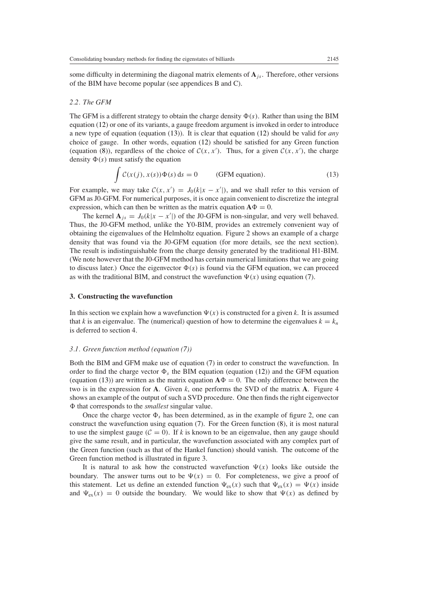some difficulty in determining the diagonal matrix elements of  $A_j$ , Therefore, other versions of the BIM have become popular (see appendices B and C).

#### *2.2. The GFM*

The GFM is a different strategy to obtain the charge density  $\Phi(s)$ . Rather than using the BIM equation [\(12\)](#page-5-0) or one of its variants, a gauge freedom argument is invoked in order to introduce a new type of equation (equation [\(13\)](#page-6-1)). It is clear that equation [\(12\)](#page-5-0) should be valid for *any* choice of gauge. In other words, equation [\(12\)](#page-5-0) should be satisfied for any Green function (equation [\(8\)](#page-4-3)), regardless of the choice of  $C(x, x')$ . Thus, for a given  $C(x, x')$ , the charge density  $\Phi(s)$  must satisfy the equation

$$
\int C(x(j), x(s))\Phi(s) ds = 0
$$
 (GFM equation). (13)

<span id="page-6-1"></span>For example, we may take  $C(x, x') = J_0(k|x - x'|)$ , and we shall refer to this version of GFM as J0-GFM. For numerical purposes, it is once again convenient to discretize the integral expression, which can then be written as the matrix equation  $\mathbf{A}\Phi = 0$ .

The kernel  $\mathbf{A}_{js} = J_0(k|x - x'|)$  of the J0-GFM is non-singular, and very well behaved. Thus, the J0-GFM method, unlike the Y0-BIM, provides an extremely convenient way of obtaining the eigenvalues of the Helmholtz equation. Figure 2 shows an example of a charge density that was found via the J0-GFM equation (for more details, see the next section). The result is indistinguishable from the charge density generated by the traditional H1-BIM. (We note however that the J0-GFM method has certain numerical limitations that we are going to discuss later.) Once the eigenvector  $\Phi(s)$  is found via the GFM equation, we can proceed as with the traditional BIM, and construct the wavefunction  $\Psi(x)$  using equation [\(7\)](#page-2-3).

## <span id="page-6-0"></span>**3. Constructing the wavefunction**

In this section we explain how a wavefunction  $\Psi(x)$  is constructed for a given *k*. It is assumed that *k* is an eigenvalue. The (numerical) question of how to determine the eigenvalues  $k = k_n$ is deferred to section 4.

## *3.1. Green function method (equation [\(7\)](#page-2-3))*

Both the BIM and GFM make use of equation [\(7\)](#page-2-3) in order to construct the wavefunction. In order to find the charge vector  $\Phi_s$  the BIM equation (equation [\(12\)](#page-5-0)) and the GFM equation (equation [\(13\)](#page-6-1)) are written as the matrix equation  $\mathbf{A}\Phi = 0$ . The only difference between the two is in the expression for **A**. Given *k*, one performs the SVD of the matrix **A**. Figure 4 shows an example of the output of such a SVD procedure. One then finds the right eigenvector that corresponds to the *smallest* singular value.

Once the charge vector  $\Phi_s$  has been determined, as in the example of figure 2, one can construct the wavefunction using equation [\(7\)](#page-2-3). For the Green function [\(8\)](#page-4-3), it is most natural to use the simplest gauge  $(C = 0)$ . If *k* is known to be an eigenvalue, then any gauge should give the same result, and in particular, the wavefunction associated with any complex part of the Green function (such as that of the Hankel function) should vanish. The outcome of the Green function method is illustrated in figure 3.

It is natural to ask how the constructed wavefunction  $\Psi(x)$  looks like outside the boundary. The answer turns out to be  $\Psi(x) = 0$ . For completeness, we give a proof of this statement. Let us define an extended function  $\Psi_{ex}(x)$  such that  $\Psi_{ex}(x) = \Psi(x)$  inside and  $\Psi_{\rm ex}(x) = 0$  outside the boundary. We would like to show that  $\Psi(x)$  as defined by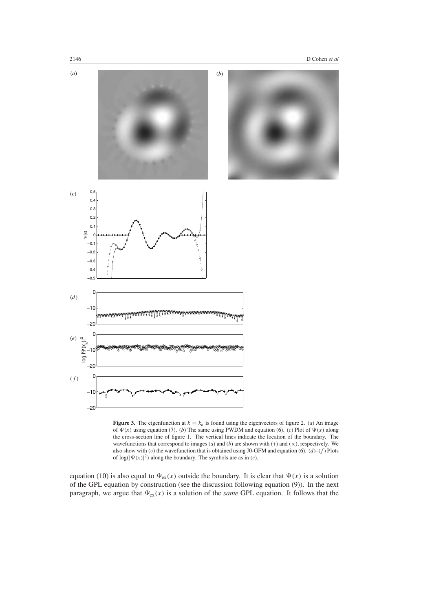



**Figure 3.** The eigenfunction at  $k = k_n$  is found using the eigenvectors of figure 2. (*a*) An image of  $\Psi(x)$  using equation [\(7\)](#page-2-3). (*b*) The same using PWDM and equation [\(6\)](#page-2-5). (*c*) Plot of  $\Psi(x)$  along the cross-section line of figure 1. The vertical lines indicate the location of the boundary. The wavefunctions that correspond to images  $(a)$  and  $(b)$  are shown with  $(+)$  and  $(\times)$ , respectively. We also show with ( $\circ$ ) the wavefunction that is obtained using J0-GFM and equation [\(6\)](#page-2-5).  $(d)$ –( $f$ ) Plots of  $log(|\Psi(x)|^2)$  along the boundary. The symbols are as in (*c*).

equation [\(10\)](#page-4-0) is also equal to  $\Psi_{\rm ex}(x)$  outside the boundary. It is clear that  $\Psi(x)$  is a solution of the GPL equation by construction (see the discussion following equation [\(9\)](#page-4-1)). In the next paragraph, we argue that  $\Psi_{ex}(x)$  is a solution of the *same* GPL equation. It follows that the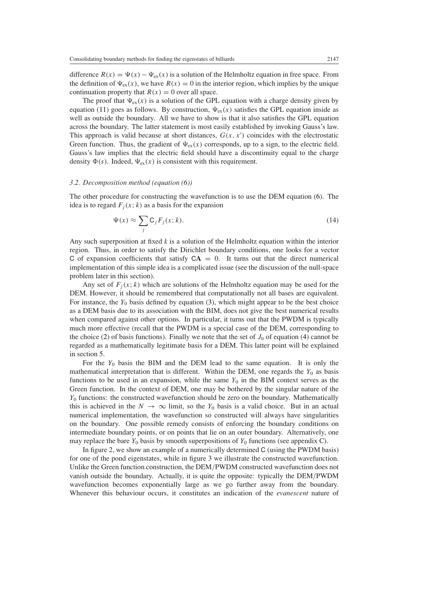difference  $R(x) = \Psi(x) - \Psi_{ex}(x)$  is a solution of the Helmholtz equation in free space. From the definition of  $\Psi_{ex}(x)$ , we have  $R(x) = 0$  in the interior region, which implies by the unique continuation property that  $R(x) = 0$  over all space.

The proof that  $\Psi_{ex}(x)$  is a solution of the GPL equation with a charge density given by equation [\(11\)](#page-4-2) goes as follows. By construction,  $\Psi_{\rm ex}(x)$  satisfies the GPL equation inside as well as outside the boundary. All we have to show is that it also satisfies the GPL equation across the boundary. The latter statement is most easily established by invoking Gauss's law. This approach is valid because at short distances,  $G(x, x')$  coincides with the electrostatic Green function. Thus, the gradient of  $\Psi_{\rm ex}(x)$  corresponds, up to a sign, to the electric field. Gauss's law implies that the electric field should have a discontinuity equal to the charge density  $\Phi(s)$ . Indeed,  $\Psi_{ex}(x)$  is consistent with this requirement.

#### *3.2. Decomposition method (equation [\(6\)](#page-2-5))*

<span id="page-8-0"></span>The other procedure for constructing the wavefunction is to use the DEM equation [\(6\)](#page-2-5). The idea is to regard  $F_i(x; k)$  as a basis for the expansion

$$
\Psi(x) \approx \sum_{j} \mathsf{C}_{j} F_{j}(x; k). \tag{14}
$$

Any such superposition at fixed *k* is a solution of the Helmholtz equation within the interior region. Thus, in order to satisfy the Dirichlet boundary conditions, one looks for a vector C of expansion coefficients that satisfy  $CA = 0$ . It turns out that the direct numerical implementation of this simple idea is a complicated issue (see the discussion of the null-space problem later in this section).

Any set of  $F_i(x; k)$  which are solutions of the Helmholtz equation may be used for the DEM. However, it should be remembered that computationally not all bases are equivalent. For instance, the  $Y_0$  basis defined by equation [\(3\)](#page-2-4), which might appear to be the best choice as a DEM basis due to its association with the BIM, does not give the best numerical results when compared against other options. In particular, it turns out that the PWDM is typically much more effective (recall that the PWDM is a special case of the DEM, corresponding to the choice [\(2\)](#page-2-1) of basis functions). Finally we note that the set of  $J_0$  of equation [\(4\)](#page-2-2) cannot be regarded as a mathematically legitimate basis for a DEM. This latter point will be explained in section 5.

For the  $Y_0$  basis the BIM and the DEM lead to the same equation. It is only the mathematical interpretation that is different. Within the DEM, one regards the  $Y_0$  as basis functions to be used in an expansion, while the same  $Y_0$  in the BIM context serves as the Green function. In the context of DEM, one may be bothered by the singular nature of the *Y*<sup>0</sup> functions: the constructed wavefunction should be zero on the boundary. Mathematically this is achieved in the  $N \to \infty$  limit, so the  $Y_0$  basis is a valid choice. But in an actual numerical implementation, the wavefunction so constructed will always have singularities on the boundary. One possible remedy consists of enforcing the boundary conditions on intermediate boundary points, or on points that lie on an outer boundary. Alternatively, one may replace the bare  $Y_0$  basis by smooth superpositions of  $Y_0$  functions (see appendix C).

In figure 2, we show an example of a numerically determined C (using the PWDM basis) for one of the pond eigenstates, while in figure 3 we illustrate the constructed wavefunction. Unlike the Green function construction, the DEM*/*PWDM constructed wavefunction does not vanish outside the boundary. Actually, it is quite the opposite: typically the DEM*/*PWDM wavefunction becomes exponentially large as we go further away from the boundary. Whenever this behaviour occurs, it constitutes an indication of the *evanescent* nature of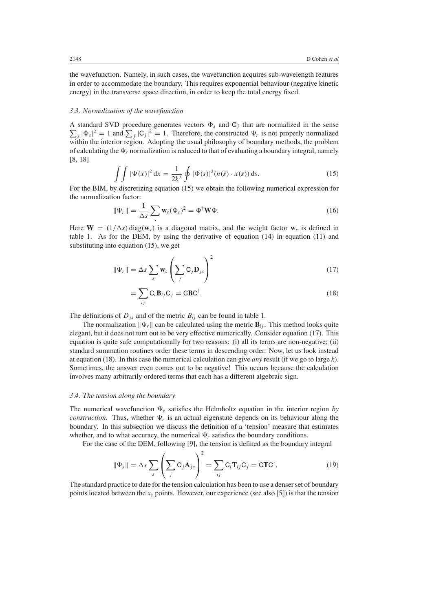the wavefunction. Namely, in such cases, the wavefunction acquires sub-wavelength features in order to accommodate the boundary. This requires exponential behaviour (negative kinetic energy) in the transverse space direction, in order to keep the total energy fixed.

## *3.3. Normalization of the wavefunction*

A standard SVD procedure generates vectors  $\Phi_s$  and  $\mathsf{C}_j$  that are normalized in the sense  $\sum_{s} |\Phi_{s}|^{2} = 1$  and  $\sum_{j} |\mathbf{C}_{j}|^{2} = 1$ . Therefore, the constructed  $\Psi_{r}$  is not properly normalized within the interior region. Adopting the usual philosophy of boundary methods, the problem of calculating the  $\Psi_r$  normalization is reduced to that of evaluating a boundary integral, namely [8, 18]

$$
\int \int |\Psi(x)|^2 dx = \frac{1}{2k^2} \oint |\Phi(s)|^2 (n(s) \cdot x(s)) ds.
$$
 (15)

<span id="page-9-0"></span>For the BIM, by discretizing equation [\(15\)](#page-9-0) we obtain the following numerical expression for the normalization factor:

$$
\|\Psi_r\| = \frac{1}{\Delta s} \sum_s \mathbf{w}_s (\Phi_s)^2 = \Phi^{\dagger} \mathbf{W} \Phi.
$$
 (16)

<span id="page-9-1"></span>Here  $W = (1/\Delta s) \text{ diag}(w_s)$  is a diagonal matrix, and the weight factor  $w_s$  is defined in table 1. As for the DEM, by using the derivative of equation [\(14\)](#page-8-0) in equation [\(11\)](#page-4-2) and substituting into equation [\(15\)](#page-9-0), we get

$$
\|\Psi_r\| = \Delta s \sum_{s} \mathbf{w}_s \left( \sum_{j} \mathbf{C}_{j} \mathbf{D}_{js} \right)^2
$$
 (17)

$$
=\sum_{ij} \mathbf{C}_i \mathbf{B}_{ij} \mathbf{C}_j = \mathbf{CBC}^\dagger. \tag{18}
$$

<span id="page-9-2"></span>The definitions of  $D_{is}$  and of the metric  $B_{ij}$  can be found in table 1.

The normalization  $\|\Psi_r\|$  can be calculated using the metric  $\mathbf{B}_{ij}$ . This method looks quite elegant, but it does not turn out to be very effective numerically. Consider equation [\(17\)](#page-9-1). This equation is quite safe computationally for two reasons: (i) all its terms are non-negative; (ii) standard summation routines order these terms in descending order. Now, let us look instead at equation [\(18\)](#page-9-2). In this case the numerical calculation can give *any* result (if we go to large *k*). Sometimes, the answer even comes out to be negative! This occurs because the calculation involves many arbitrarily ordered terms that each has a different algebraic sign.

#### *3.4. The tension along the boundary*

The numerical wavefunction  $\Psi_r$  satisfies the Helmholtz equation in the interior region by *construction*. Thus, whether  $\Psi_r$  is an actual eigenstate depends on its behaviour along the boundary. In this subsection we discuss the definition of a 'tension' measure that estimates whether, and to what accuracy, the numerical  $\Psi_r$  satisfies the boundary conditions.

For the case of the DEM, following [9], the tension is defined as the boundary integral

$$
\|\Psi_s\| = \Delta s \sum_{s} \left(\sum_{j} \mathbf{C}_{j} \mathbf{A}_{js}\right)^2 = \sum_{ij} \mathbf{C}_{i} \mathbf{T}_{ij} \mathbf{C}_{j} = \mathbf{C} \mathbf{T} \mathbf{C}^{\dagger}.
$$
 (19)

The standard practice to date for the tension calculation has been to use a denser set of boundary points located between the  $x<sub>s</sub>$  points. However, our experience (see also [5]) is that the tension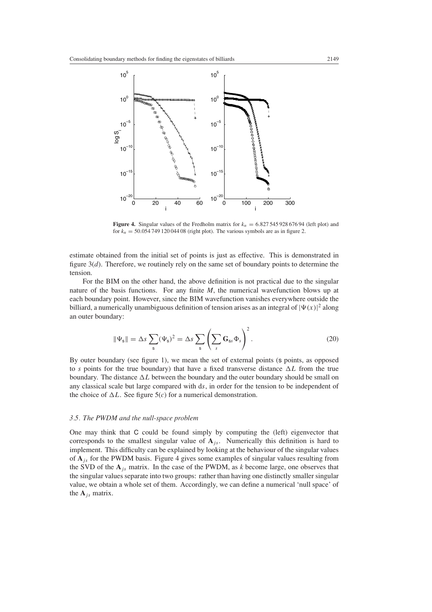

**Figure 4.** Singular values of the Fredholm matrix for  $k_n = 6.82754592867694$  (left plot) and for  $k_n = 50.05474912004408$  (right plot). The various symbols are as in figure 2.

estimate obtained from the initial set of points is just as effective. This is demonstrated in figure 3(*d*). Therefore, we routinely rely on the same set of boundary points to determine the tension.

For the BIM on the other hand, the above definition is not practical due to the singular nature of the basis functions. For any finite *M*, the numerical wavefunction blows up at each boundary point. However, since the BIM wavefunction vanishes everywhere outside the billiard, a numerically unambiguous definition of tension arises as an integral of  $|\Psi(x)|^2$  along an outer boundary:

$$
\|\Psi_{\rm s}\| = \Delta s \sum_{\rm s} (\Psi_{\rm s})^2 = \Delta s \sum_{\rm s} \left( \sum_{s} \mathbf{G}_{\rm ss} \Phi_{s} \right)^2.
$$
 (20)

By outer boundary (see figure 1), we mean the set of external points (s points, as opposed to *s* points for the true boundary) that have a fixed transverse distance  $\Delta L$  from the true boundary. The distance  $\Delta L$  between the boundary and the outer boundary should be small on any classical scale but large compared with d*s*, in order for the tension to be independent of the choice of  $\Delta L$ . See figure 5(*c*) for a numerical demonstration.

#### *3.5. The PWDM and the null-space problem*

One may think that C could be found simply by computing the (left) eigenvector that corresponds to the smallest singular value of  $A_{is}$ . Numerically this definition is hard to implement. This difficulty can be explained by looking at the behaviour of the singular values of  $A_{i}$  for the PWDM basis. Figure 4 gives some examples of singular values resulting from the SVD of the  $A_j$ <sub>s</sub> matrix. In the case of the PWDM, as *k* become large, one observes that the singular values separate into two groups: rather than having one distinctly smaller singular value, we obtain a whole set of them. Accordingly, we can define a numerical 'null space' of the  $A_i$  matrix.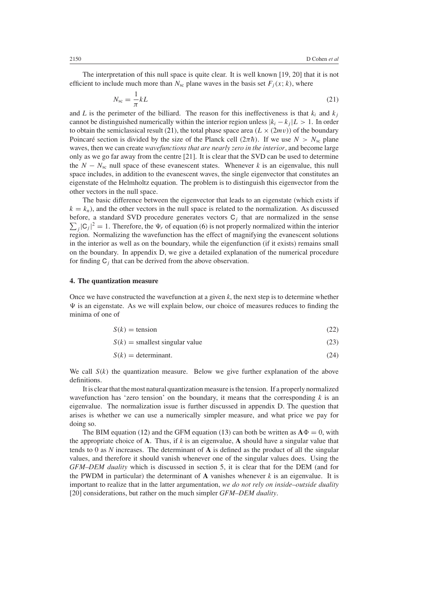<span id="page-11-1"></span>The interpretation of this null space is quite clear. It is well known [19, 20] that it is not efficient to include much more than  $N_{\rm sc}$  plane waves in the basis set  $F_i(x; k)$ , where

$$
N_{\rm sc} = \frac{1}{\pi} kL \tag{21}
$$

and *L* is the perimeter of the billiard. The reason for this ineffectiveness is that  $k_i$  and  $k_j$ cannot be distinguished numerically within the interior region unless  $|k_i - k_j|L > 1$ . In order to obtain the semiclassical result [\(21\)](#page-11-1), the total phase space area  $(L \times (2mv))$  of the boundary Poincaré section is divided by the size of the Planck cell  $(2\pi\hbar)$ . If we use  $N > N<sub>sc</sub>$  plane waves, then we can create *wavefunctions that are nearly zero in the interior*, and become large only as we go far away from the centre [21]. It is clear that the SVD can be used to determine the  $N - N<sub>sc</sub>$  null space of these evanescent states. Whenever *k* is an eigenvalue, this null space includes, in addition to the evanescent waves, the single eigenvector that constitutes an eigenstate of the Helmholtz equation. The problem is to distinguish this eigenvector from the other vectors in the null space.

The basic difference between the eigenvector that leads to an eigenstate (which exists if  $k = k_n$ ), and the other vectors in the null space is related to the normalization. As discussed before, a standard SVD procedure generates vectors  $C_j$  that are normalized in the sense  $\sum_j |C_j|^2 = 1$ . Therefore, the  $\Psi_r$  of equation [\(6\)](#page-2-5) is not properly normalized within the interior region. Normalizing the wavefunction has the effect of magnifying the evanescent solutions in the interior as well as on the boundary, while the eigenfunction (if it exists) remains small on the boundary. In appendix D, we give a detailed explanation of the numerical procedure for finding C*<sup>j</sup>* that can be derived from the above observation.

## <span id="page-11-0"></span>**4. The quantization measure**

<span id="page-11-3"></span><span id="page-11-2"></span>Once we have constructed the wavefunction at a given *k*, the next step is to determine whether  $\Psi$  is an eigenstate. As we will explain below, our choice of measures reduces to finding the minima of one of

$$
S(k) = \text{tension} \tag{22}
$$

$$
S(k) = \text{smallest singular value} \tag{23}
$$

$$
S(k) = \text{determinant.} \tag{24}
$$

We call  $S(k)$  the quantization measure. Below we give further explanation of the above definitions.

It is clear that the most natural quantization measure is the tension. If a properly normalized wavefunction has 'zero tension' on the boundary, it means that the corresponding  $k$  is an eigenvalue. The normalization issue is further discussed in appendix D. The question that arises is whether we can use a numerically simpler measure, and what price we pay for doing so.

The BIM equation [\(12\)](#page-5-0) and the GFM equation [\(13\)](#page-6-1) can both be written as  $\mathbf{A}\Phi = 0$ , with the appropriate choice of **A**. Thus, if *k* is an eigenvalue, **A** should have a singular value that tends to 0 as *N* increases. The determinant of **A** is defined as the product of all the singular values, and therefore it should vanish whenever one of the singular values does. Using the *GFM–DEM duality* which is discussed in section 5, it is clear that for the DEM (and for the PWDM in particular) the determinant of  $\bf{A}$  vanishes whenever  $k$  is an eigenvalue. It is important to realize that in the latter argumentation, *we do not rely on inside–outside duality* [20] considerations, but rather on the much simpler *GFM–DEM duality*.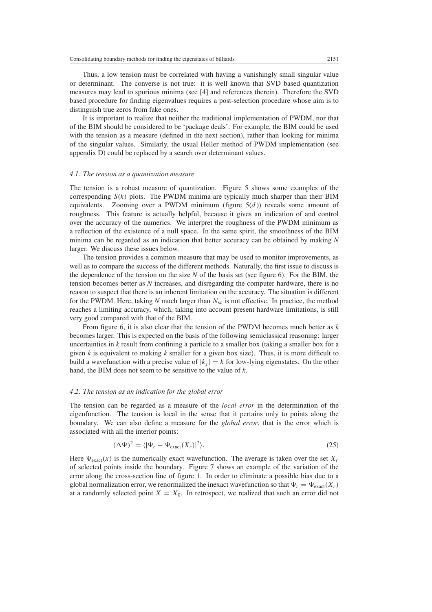Thus, a low tension must be correlated with having a vanishingly small singular value or determinant. The converse is not true: it is well known that SVD based quantization measures may lead to spurious minima (see [4] and references therein). Therefore the SVD based procedure for finding eigenvalues requires a post-selection procedure whose aim is to distinguish true zeros from fake ones.

It is important to realize that neither the traditional implementation of PWDM, nor that of the BIM should be considered to be 'package deals'. For example, the BIM could be used with the tension as a measure (defined in the next section), rather than looking for minima of the singular values. Similarly, the usual Heller method of PWDM implementation (see appendix D) could be replaced by a search over determinant values.

#### *4.1. The tension as a quantization measure*

The tension is a robust measure of quantization. Figure 5 shows some examples of the corresponding  $S(k)$  plots. The PWDM minima are typically much sharper than their BIM equivalents. Zooming over a PWDM minimum (figure  $5(d)$ ) reveals some amount of roughness. This feature is actually helpful, because it gives an indication of and control over the accuracy of the numerics. We interpret the roughness of the PWDM minimum as a reflection of the existence of a null space. In the same spirit, the smoothness of the BIM minima can be regarded as an indication that better accuracy can be obtained by making *N* larger. We discuss these issues below.

The tension provides a common measure that may be used to monitor improvements, as well as to compare the success of the different methods. Naturally, the first issue to discuss is the dependence of the tension on the size *N* of the basis set (see figure 6). For the BIM, the tension becomes better as *N* increases, and disregarding the computer hardware, there is no reason to suspect that there is an inherent limitation on the accuracy. The situation is different for the PWDM. Here, taking *N* much larger than  $N_{\rm sc}$  is not effective. In practice, the method reaches a limiting accuracy, which, taking into account present hardware limitations, is still very good compared with that of the BIM.

From figure 6, it is also clear that the tension of the PWDM becomes much better as *k* becomes larger. This is expected on the basis of the following semiclassical reasoning: larger uncertainties in *k* result from confining a particle to a smaller box (taking a smaller box for a given *k* is equivalent to making *k* smaller for a given box size). Thus, it is more difficult to build a wavefunction with a precise value of  $|k_i| = k$  for low-lying eigenstates. On the other hand, the BIM does not seem to be sensitive to the value of *k*.

#### *4.2. The tension as an indication for the global error*

The tension can be regarded as a measure of the *local error* in the determination of the eigenfunction. The tension is local in the sense that it pertains only to points along the boundary. We can also define a measure for the *global error*, that is the error which is associated with all the interior points:

$$
(\Delta \Psi)^2 = \langle |\Psi_r - \Psi_{\text{exact}}(X_r)|^2 \rangle. \tag{25}
$$

Here  $\Psi_{\text{exact}}(x)$  is the numerically exact wavefunction. The average is taken over the set  $X_r$ of selected points inside the boundary. Figure 7 shows an example of the variation of the error along the cross-section line of figure 1. In order to eliminate a possible bias due to a global normalization error, we renormalized the inexact wavefunction so that  $\Psi_r = \Psi_{\text{exact}}(X_r)$ at a randomly selected point  $X = X_0$ . In retrospect, we realized that such an error did not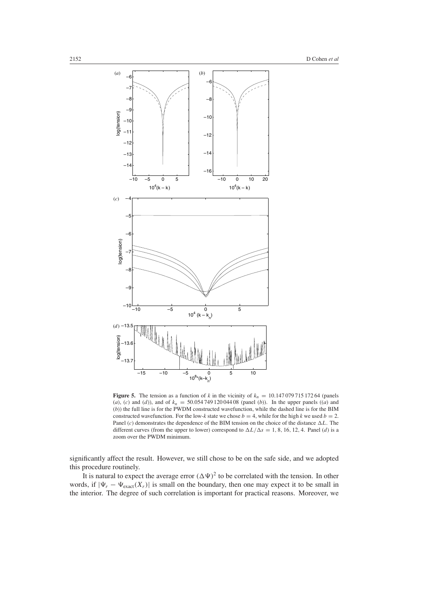

**Figure 5.** The tension as a function of *k* in the vicinity of  $k_n = 10.14707971517264$  (panels (*a*), (*c*) and (*d*)), and of  $k_n = 50.05474912004408$  (panel (*b*)). In the upper panels ((*a*) and (*b*)) the full line is for the PWDM constructed wavefunction, while the dashed line is for the BIM constructed wavefunction. For the low-*k* state we chose  $b = 4$ , while for the high *k* we used  $b = 2$ . Panel  $(c)$  demonstrates the dependence of the BIM tension on the choice of the distance  $\Delta L$ . The different curves (from the upper to lower) correspond to  $\Delta L/\Delta s = 1, 8, 16, 12, 4$ . Panel (*d*) is a zoom over the PWDM minimum.

significantly affect the result. However, we still chose to be on the safe side, and we adopted this procedure routinely.

It is natural to expect the average error  $(\Delta \Psi)^2$  to be correlated with the tension. In other words, if  $|\Psi_r - \Psi_{\text{exact}}(X_r)|$  is small on the boundary, then one may expect it to be small in the interior. The degree of such correlation is important for practical reasons. Moreover, we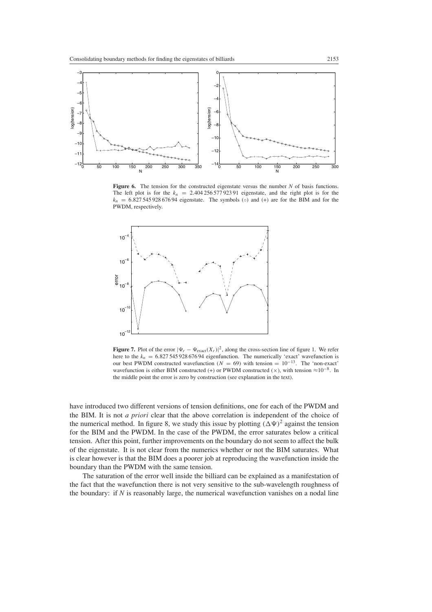

Figure 6. The tension for the constructed eigenstate versus the number *N* of basis functions. The left plot is for the  $k_n = 2.40425657792391$  eigenstate, and the right plot is for the  $k_n = 6.82754592867694$  eigenstate. The symbols ( $\circ$ ) and (+) are for the BIM and for the PWDM, respectively.



**Figure 7.** Plot of the error  $|\Psi_r - \Psi_{\text{exact}}(X_r)|^2$ , along the cross-section line of figure 1. We refer here to the  $k_n = 6.82754592867694$  eigenfunction. The numerically 'exact' wavefunction is our best PWDM constructed wavefunction  $(N = 69)$  with tension =  $10^{-13}$ . The 'non-exact' wavefunction is either BIM constructed (+) or PWDM constructed ( $\times$ ), with tension  $\approx 10^{-8}$ . In the middle point the error is zero by construction (see explanation in the text).

have introduced two different versions of tension definitions, one for each of the PWDM and the BIM. It is not *a priori* clear that the above correlation is independent of the choice of the numerical method. In figure 8, we study this issue by plotting  $(\Delta \Psi)^2$  against the tension for the BIM and the PWDM. In the case of the PWDM, the error saturates below a critical tension. After this point, further improvements on the boundary do not seem to affect the bulk of the eigenstate. It is not clear from the numerics whether or not the BIM saturates. What is clear however is that the BIM does a poorer job at reproducing the wavefunction inside the boundary than the PWDM with the same tension.

The saturation of the error well inside the billiard can be explained as a manifestation of the fact that the wavefunction there is not very sensitive to the sub-wavelength roughness of the boundary: if *N* is reasonably large, the numerical wavefunction vanishes on a nodal line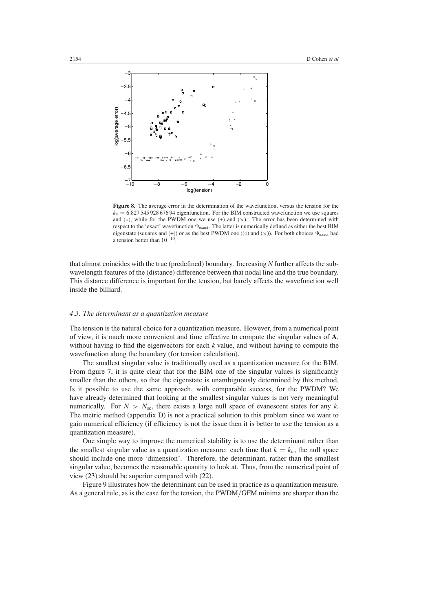

**Figure 8.** The average error in the determination of the wavefunction, versus the tension for the  $k_n = 6.82754592867694$  eigenfunction. For the BIM constructed wavefunction we use squares and  $(○)$ , while for the PWDM one we use  $(+)$  and  $(x)$ . The error has been determined with respect to the 'exact' wavefunction  $\Psi_{\text{exact}}$ . The latter is numerically defined as either the best BIM eigenstate (squares and (+)) or as the best PWDM one (( $\circ$ ) and ( $\times$ )). For both choices  $\Psi_{\text{exact}}$  had a tension better than 10−10.

that almost coincides with the true (predefined) boundary. Increasing *N* further affects the subwavelength features of the (distance) difference between that nodal line and the true boundary. This distance difference is important for the tension, but barely affects the wavefunction well inside the billiard.

# *4.3. The determinant as a quantization measure*

The tension is the natural choice for a quantization measure. However, from a numerical point of view, it is much more convenient and time effective to compute the singular values of **A**, without having to find the eigenvectors for each *k* value, and without having to compute the wavefunction along the boundary (for tension calculation).

The smallest singular value is traditionally used as a quantization measure for the BIM. From figure 7, it is quite clear that for the BIM one of the singular values is significantly smaller than the others, so that the eigenstate is unambiguously determined by this method. Is it possible to use the same approach, with comparable success, for the PWDM? We have already determined that looking at the smallest singular values is not very meaningful numerically. For  $N > N<sub>sc</sub>$ , there exists a large null space of evanescent states for any *k*. The metric method (appendix D) is not a practical solution to this problem since we want to gain numerical efficiency (if efficiency is not the issue then it is better to use the tension as a quantization measure).

One simple way to improve the numerical stability is to use the determinant rather than the smallest singular value as a quantization measure: each time that  $k = k_n$ , the null space should include one more 'dimension'. Therefore, the determinant, rather than the smallest singular value, becomes the reasonable quantity to look at. Thus, from the numerical point of view [\(23\)](#page-11-2) should be superior compared with [\(22\)](#page-11-3).

Figure 9 illustrates how the determinant can be used in practice as a quantization measure. As a general rule, as is the case for the tension, the PWDM*/*GFM minima are sharper than the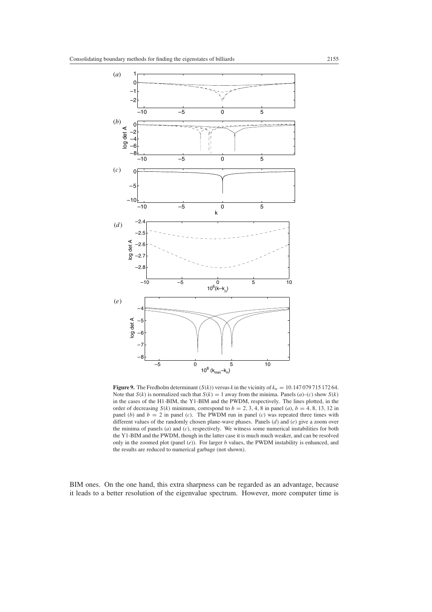

**Figure 9.** The Fredholm determinant  $(S(k))$  versus *k* in the vicinity of  $k_n = 10.14707971517264$ . Note that  $S(k)$  is normalized such that  $S(k) = 1$  away from the minima. Panels (*a*)–(*c*) show  $S(k)$ in the cases of the H1-BIM, the Y1-BIM and the PWDM, respectively. The lines plotted, in the order of decreasing  $S(k)$  minimum, correspond to  $b = 2, 3, 4, 8$  in panel (*a*),  $b = 4, 8, 13, 12$  in panel (*b*) and  $b = 2$  in panel (*c*). The PWDM run in panel (*c*) was repeated three times with different values of the randomly chosen plane-wave phases. Panels (*d*) and (*e*) give a zoom over the minima of panels (*a*) and (*c*), respectively. We witness some numerical instabilities for both the Y1-BIM and the PWDM, though in the latter case it is much much weaker, and can be resolved only in the zoomed plot (panel (*e*)). For larger *b* values, the PWDM instability is enhanced, and the results are reduced to numerical garbage (not shown).

BIM ones. On the one hand, this extra sharpness can be regarded as an advantage, because it leads to a better resolution of the eigenvalue spectrum. However, more computer time is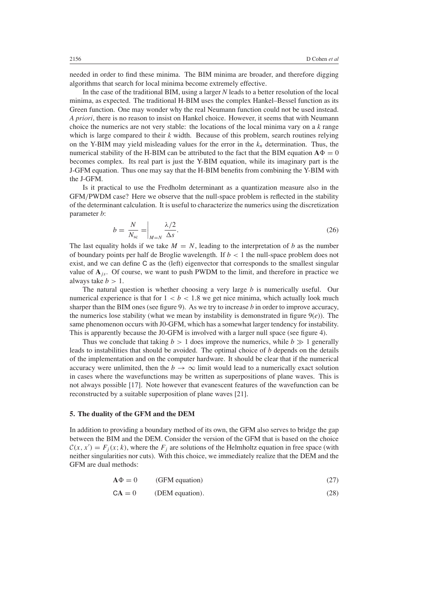needed in order to find these minima. The BIM minima are broader, and therefore digging algorithms that search for local minima become extremely effective.

In the case of the traditional BIM, using a larger *N* leads to a better resolution of the local minima, as expected. The traditional H-BIM uses the complex Hankel–Bessel function as its Green function. One may wonder why the real Neumann function could not be used instead. *A priori*, there is no reason to insist on Hankel choice. However, it seems that with Neumann choice the numerics are not very stable: the locations of the local minima vary on a *k* range which is large compared to their *k* width. Because of this problem, search routines relying on the Y-BIM may yield misleading values for the error in the  $k_n$  determination. Thus, the numerical stability of the H-BIM can be attributed to the fact that the BIM equation  $\mathbf{A}\Phi = 0$ becomes complex. Its real part is just the Y-BIM equation, while its imaginary part is the J-GFM equation. Thus one may say that the H-BIM benefits from combining the Y-BIM with the J-GFM.

Is it practical to use the Fredholm determinant as a quantization measure also in the GFM*/*PWDM case? Here we observe that the null-space problem is reflected in the stability of the determinant calculation. It is useful to characterize the numerics using the discretization parameter *b*:

$$
b = \frac{N}{N_{\rm sc}} = \bigg|_{M=N} \frac{\lambda/2}{\Delta s}.
$$
\n(26)

The last equality holds if we take  $M = N$ , leading to the interpretation of *b* as the number of boundary points per half de Broglie wavelength. If *b <* 1 the null-space problem does not exist, and we can define C as the (left) eigenvector that corresponds to the smallest singular value of  $A_{j<sub>s</sub>}$ . Of course, we want to push PWDM to the limit, and therefore in practice we always take  $b > 1$ .

The natural question is whether choosing a very large *b* is numerically useful. Our numerical experience is that for  $1 < b < 1.8$  we get nice minima, which actually look much sharper than the BIM ones (see figure 9). As we try to increase *b* in order to improve accuracy, the numerics lose stability (what we mean by instability is demonstrated in figure  $9(e)$ ). The same phenomenon occurs with J0-GFM, which has a somewhat larger tendency for instability. This is apparently because the J0-GFM is involved with a larger null space (see figure 4).

Thus we conclude that taking  $b > 1$  does improve the numerics, while  $b \gg 1$  generally leads to instabilities that should be avoided. The optimal choice of *b* depends on the details of the implementation and on the computer hardware. It should be clear that if the numerical accuracy were unlimited, then the  $b \to \infty$  limit would lead to a numerically exact solution in cases where the wavefunctions may be written as superpositions of plane waves. This is not always possible [17]. Note however that evanescent features of the wavefunction can be reconstructed by a suitable superposition of plane waves [21].

#### <span id="page-17-0"></span>**5. The duality of the GFM and the DEM**

<span id="page-17-1"></span>In addition to providing a boundary method of its own, the GFM also serves to bridge the gap between the BIM and the DEM. Consider the version of the GFM that is based on the choice  $C(x, x') = F_j(x; k)$ , where the  $F_j$  are solutions of the Helmholtz equation in free space (with neither singularities nor cuts). With this choice, we immediately realize that the DEM and the GFM are dual methods:

$$
A\Phi = 0
$$
 (GFM equation) (27)

$$
CA = 0
$$
 (DEM equation). (28)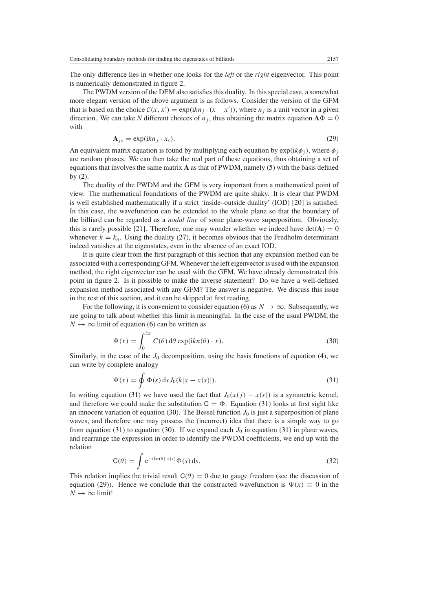The only difference lies in whether one looks for the *left* or the *right* eigenvector. This point is numerically demonstrated in figure 2.

The PWDM version of the DEM also satisfies this duality. In this special case, a somewhat more elegant version of the above argument is as follows. Consider the version of the GFM that is based on the choice  $C(x, x') = \exp(ikn_j \cdot (x - x'))$ , where  $n_j$  is a unit vector in a given direction. We can take N different choices of  $n_j$ , thus obtaining the matrix equation  $\mathbf{A}\Phi = 0$ with

$$
\mathbf{A}_{js} = \exp(ikn_j \cdot x_s). \tag{29}
$$

<span id="page-18-2"></span>An equivalent matrix equation is found by multiplying each equation by  $exp(ik\phi_i)$ , where  $\phi_i$ are random phases. We can then take the real part of these equations, thus obtaining a set of equations that involves the same matrix **A** as that of PWDM, namely [\(5\)](#page-2-0) with the basis defined by [\(2\)](#page-2-1).

The duality of the PWDM and the GFM is very important from a mathematical point of view. The mathematical foundations of the PWDM are quite shaky. It is clear that PWDM is well established mathematically if a strict 'inside–outside duality' (IOD) [20] is satisfied. In this case, the wavefunction can be extended to the whole plane so that the boundary of the billiard can be regarded as a *nodal line* of some plane-wave superposition. Obviously, this is rarely possible [21]. Therefore, one may wonder whether we indeed have det $(A) = 0$ whenever  $k = k_n$ . Using the duality [\(27\)](#page-17-1), it becomes obvious that the Fredholm determinant indeed vanishes at the eigenstates, even in the absence of an exact IOD.

It is quite clear from the first paragraph of this section that any expansion method can be associated with a corresponding GFM. Whenever the left eigenvector is used with the expansion method, the right eigenvector can be used with the GFM. We have already demonstrated this point in figure 2. Is it possible to make the inverse statement? Do we have a well-defined expansion method associated with any GFM? The answer is negative. We discuss this issue in the rest of this section, and it can be skipped at first reading.

For the following, it is convenient to consider equation [\(6\)](#page-2-5) as  $N \to \infty$ . Subsequently, we are going to talk about whether this limit is meaningful. In the case of the usual PWDM, the  $N \rightarrow \infty$  limit of equation [\(6\)](#page-2-5) can be written as

$$
\Psi(x) = \int_0^{2\pi} C(\theta) d\theta \exp(ikn(\theta) \cdot x).
$$
\n(30)

<span id="page-18-1"></span><span id="page-18-0"></span>Similarly, in the case of the  $J_0$  decomposition, using the basis functions of equation [\(4\)](#page-2-2), we can write by complete analogy

$$
\Psi(x) = \oint \Phi(s) \, ds J_0(k|x - x(s)|). \tag{31}
$$

In writing equation [\(31\)](#page-18-0) we have used the fact that  $J_0(x(j) - x(s))$  is a symmetric kernel, and therefore we could make the substitution  $C = \Phi$ . Equation [\(31\)](#page-18-0) looks at first sight like an innocent variation of equation [\(30\)](#page-18-1). The Bessel function  $J_0$  is just a superposition of plane waves, and therefore one may possess the (incorrect) idea that there is a simple way to go from equation [\(31\)](#page-18-0) to equation [\(30\)](#page-18-1). If we expand each  $J_0$  in equation (31) in plane waves, and rearrange the expression in order to identify the PWDM coefficients, we end up with the relation

$$
\mathsf{C}(\theta) = \int e^{-\mathrm{i}kn(\theta) \cdot x(s)} \Phi(s) \, \mathrm{d}s. \tag{32}
$$

This relation implies the trivial result  $C(\theta) = 0$  due to gauge freedom (see the discussion of equation [\(29\)](#page-18-2)). Hence we conclude that the constructed wavefunction is  $\Psi(x) \equiv 0$  in the  $N \rightarrow \infty$  limit!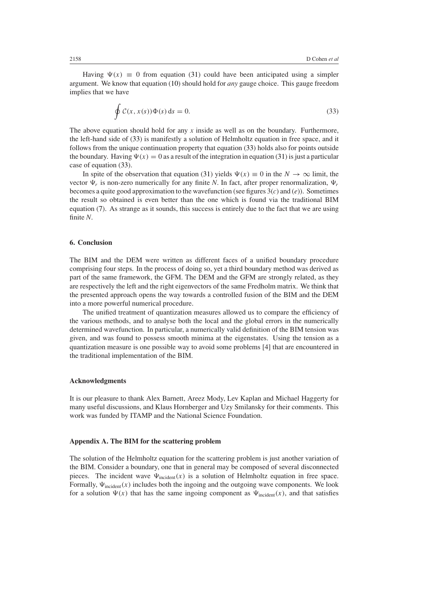<span id="page-19-0"></span>Having  $\Psi(x) \equiv 0$  from equation [\(31\)](#page-18-0) could have been anticipated using a simpler argument. We know that equation [\(10\)](#page-4-0) should hold for *any* gauge choice. This gauge freedom implies that we have

$$
\oint \mathcal{C}(x, x(s)) \Phi(s) ds = 0.
$$
\n(33)

The above equation should hold for any *x* inside as well as on the boundary. Furthermore, the left-hand side of [\(33\)](#page-19-0) is manifestly a solution of Helmholtz equation in free space, and it follows from the unique continuation property that equation [\(33\)](#page-19-0) holds also for points outside the boundary. Having  $\Psi(x) = 0$  as a result of the integration in equation [\(31\)](#page-18-0) is just a particular case of equation [\(33\)](#page-19-0).

In spite of the observation that equation [\(31\)](#page-18-0) yields  $\Psi(x) \equiv 0$  in the  $N \to \infty$  limit, the vector  $\Psi_r$  is non-zero numerically for any finite *N*. In fact, after proper renormalization,  $\Psi_r$ becomes a quite good approximation to the wavefunction (see figures 3(*c*) and (*e*)). Sometimes the result so obtained is even better than the one which is found via the traditional BIM equation [\(7\)](#page-2-3). As strange as it sounds, this success is entirely due to the fact that we are using finite *N*.

# **6. Conclusion**

The BIM and the DEM were written as different faces of a unified boundary procedure comprising four steps. In the process of doing so, yet a third boundary method was derived as part of the same framework, the GFM. The DEM and the GFM are strongly related, as they are respectively the left and the right eigenvectors of the same Fredholm matrix. We think that the presented approach opens the way towards a controlled fusion of the BIM and the DEM into a more powerful numerical procedure.

The unified treatment of quantization measures allowed us to compare the efficiency of the various methods, and to analyse both the local and the global errors in the numerically determined wavefunction. In particular, a numerically valid definition of the BIM tension was given, and was found to possess smooth minima at the eigenstates. Using the tension as a quantization measure is one possible way to avoid some problems [4] that are encountered in the traditional implementation of the BIM.

#### **Acknowledgments**

It is our pleasure to thank Alex Barnett, Areez Mody, Lev Kaplan and Michael Haggerty for many useful discussions, and Klaus Hornberger and Uzy Smilansky for their comments. This work was funded by ITAMP and the National Science Foundation.

#### **Appendix A. The BIM for the scattering problem**

The solution of the Helmholtz equation for the scattering problem is just another variation of the BIM. Consider a boundary, one that in general may be composed of several disconnected pieces. The incident wave  $\Psi_{\text{incident}}(x)$  is a solution of Helmholtz equation in free space. Formally,  $\Psi_{\text{incident}}(x)$  includes both the ingoing and the outgoing wave components. We look for a solution  $\Psi(x)$  that has the same ingoing component as  $\Psi_{\text{incident}}(x)$ , and that satisfies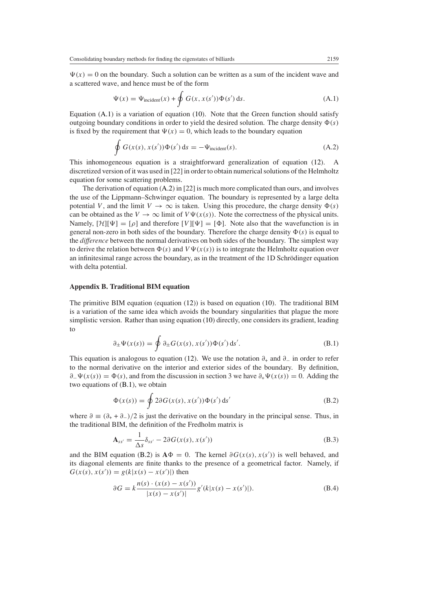<span id="page-20-1"></span> $\Psi(x) = 0$  on the boundary. Such a solution can be written as a sum of the incident wave and a scattered wave, and hence must be of the form

$$
\Psi(x) = \Psi_{\text{incident}}(x) + \oint G(x, x(s')) \Phi(s') \, \text{d}s. \tag{A.1}
$$

<span id="page-20-2"></span>Equation  $(A.1)$  is a variation of equation [\(10\)](#page-4-0). Note that the Green function should satisfy outgoing boundary conditions in order to yield the desired solution. The charge density  $\Phi(s)$ is fixed by the requirement that  $\Psi(x) = 0$ , which leads to the boundary equation

$$
\oint G(x(s), x(s')) \Phi(s') ds = -\Psi_{\text{incident}}(s). \tag{A.2}
$$

This inhomogeneous equation is a straightforward generalization of equation [\(12\)](#page-5-0). A discretized version of it was used in [22] in order to obtain numerical solutions of the Helmholtz equation for some scattering problems.

The derivation of equation  $(A.2)$  in [22] is much more complicated than ours, and involves the use of the Lippmann–Schwinger equation. The boundary is represented by a large delta potential *V*, and the limit  $V \to \infty$  is taken. Using this procedure, the charge density  $\Phi(s)$ can be obtained as the  $V \to \infty$  limit of  $V\Psi(x(s))$ . Note the correctness of the physical units. Namely,  $[\mathcal{H}][\Psi] = [\rho]$  and therefore  $[V][\Psi] = [\Phi]$ . Note also that the wavefunction is in general non-zero in both sides of the boundary. Therefore the charge density  $\Phi(s)$  is equal to the *difference* between the normal derivatives on both sides of the boundary. The simplest way to derive the relation between  $\Phi(s)$  and  $V\Psi(x(s))$  is to integrate the Helmholtz equation over an infinitesimal range across the boundary, as in the treatment of the 1D Schrodinger equation ¨ with delta potential.

#### **Appendix B. Traditional BIM equation**

The primitive BIM equation (equation [\(12\)](#page-5-0)) is based on equation [\(10\)](#page-4-0). The traditional BIM is a variation of the same idea which avoids the boundary singularities that plague the more simplistic version. Rather than using equation [\(10\)](#page-4-0) directly, one considers its gradient, leading to

$$
\partial_{\pm} \Psi(x(s)) = \oint \partial_{\pm} G(x(s), x(s')) \Phi(s') ds'.
$$
 (B.1)

<span id="page-20-3"></span>This equation is analogous to equation [\(12\)](#page-5-0). We use the notation *∂*<sup>+</sup> and *∂*<sup>−</sup> in order to refer to the normal derivative on the interior and exterior sides of the boundary. By definition,  $\partial$ <sub>−</sub> $\Psi(x(s)) = \Phi(s)$ , and from the discussion in section 3 we have  $\partial_+ \Psi(x(s)) = 0$ . Adding the two equations of [\(B.1\)](#page-20-3), we obtain

$$
\Phi(x(s)) = \oint 2\partial G(x(s), x(s')) \Phi(s') ds'
$$
\n(B.2)

<span id="page-20-4"></span><span id="page-20-0"></span>where  $\partial \equiv (\partial_+ + \partial_-)/2$  is just the derivative on the boundary in the principal sense. Thus, in the traditional BIM, the definition of the Fredholm matrix is

$$
\mathbf{A}_{ss'} = \frac{1}{\Delta s} \delta_{ss'} - 2\partial G(x(s), x(s')) \tag{B.3}
$$

and the BIM equation [\(B.2\)](#page-20-4) is  $\mathbf{A}\Phi = 0$ . The kernel  $\partial G(x(s), x(s'))$  is well behaved, and its diagonal elements are finite thanks to the presence of a geometrical factor. Namely, if  $G(x(s), x(s')) = g(k|x(s) - x(s'))$  then

$$
\partial G = k \frac{n(s) \cdot (x(s) - x(s'))}{|x(s) - x(s')|} g'(k|x(s) - x(s')|). \tag{B.4}
$$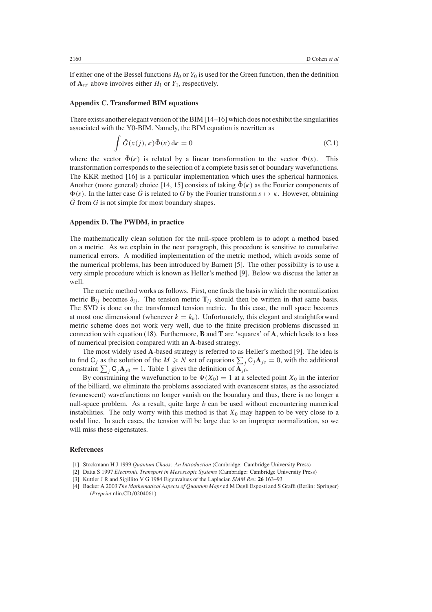If either one of the Bessel functions  $H_0$  or  $Y_0$  is used for the Green function, then the definition of  $A_{ss'}$  above involves either  $H_1$  or  $Y_1$ , respectively.

#### **Appendix C. Transformed BIM equations**

There exists another elegant version of the BIM [14–16] which does not exhibit the singularities associated with the Y0-BIM. Namely, the BIM equation is rewritten as

$$
\int \tilde{G}(x(j), \kappa) \tilde{\Phi}(\kappa) d\kappa = 0
$$
\n(C.1)

where the vector  $\tilde{\Phi}(\kappa)$  is related by a linear transformation to the vector  $\Phi(s)$ . This transformation corresponds to the selection of a complete basis set of boundary wavefunctions. The KKR method [16] is a particular implementation which uses the spherical harmonics. Another (more general) choice [14, 15] consists of taking  $\Phi(\kappa)$  as the Fourier components of  $\Phi(s)$ . In the latter case  $\tilde{G}$  is related to *G* by the Fourier transform  $s \mapsto \kappa$ . However, obtaining  $\tilde{G}$  from  $G$  is not simple for most boundary shapes.

## **Appendix D. The PWDM, in practice**

The mathematically clean solution for the null-space problem is to adopt a method based on a metric. As we explain in the next paragraph, this procedure is sensitive to cumulative numerical errors. A modified implementation of the metric method, which avoids some of the numerical problems, has been introduced by Barnett [5]. The other possibility is to use a very simple procedure which is known as Heller's method [9]. Below we discuss the latter as well.

The metric method works as follows. First, one finds the basis in which the normalization metric  $\mathbf{B}_{ij}$  becomes  $\delta_{ij}$ . The tension metric  $\mathbf{T}_{ij}$  should then be written in that same basis. The SVD is done on the transformed tension metric. In this case, the null space becomes at most one dimensional (whenever  $k = k_n$ ). Unfortunately, this elegant and straightforward metric scheme does not work very well, due to the finite precision problems discussed in connection with equation [\(18\)](#page-9-2). Furthermore, **B** and **T** are 'squares' of **A**, which leads to a loss of numerical precision compared with an **A**-based strategy.

The most widely used **A**-based strategy is referred to as Heller's method [9]. The idea is to find  $C_j$  as the solution of the  $M \ge N$  set of equations  $\sum_j C_j A_{js} = 0$ , with the additional constraint  $\sum_{j} C_{j}A_{j0} = 1$ . Table 1 gives the definition of  $A_{j0}$ .

By constraining the wavefunction to be  $\Psi(X_0) = 1$  at a selected point  $X_0$  in the interior of the billiard, we eliminate the problems associated with evanescent states, as the associated (evanescent) wavefunctions no longer vanish on the boundary and thus, there is no longer a null-space problem. As a result, quite large *b* can be used without encountering numerical instabilities. The only worry with this method is that  $X_0$  may happen to be very close to a nodal line. In such cases, the tension will be large due to an improper normalization, so we will miss these eigenstates.

## **References**

- [1] Stockmann H J 1999 *Quantum Chaos: An Introduction* (Cambridge: Cambridge University Press)
- [2] Datta S 1997 *Electronic Transport in Mesoscopic Systems* (Cambridge: Cambridge University Press)
- [3] Kuttler J R and Sigillito V G 1984 Eigenvalues of the Laplacian *SIAM Rev.* **26** 163–93
- [4] Backer A 2003 *The Mathematical Aspects of Quantum Maps* ed M Degli Esposti and S Graffi (Berlin: Springer) (*Preprint* nlin.CD*/*0204061)